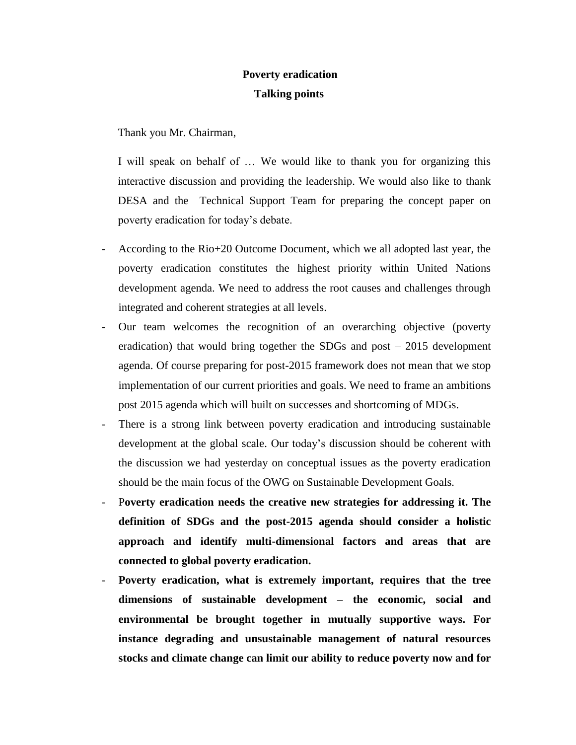## **Poverty eradication Talking points**

Thank you Mr. Chairman,

I will speak on behalf of … We would like to thank you for organizing this interactive discussion and providing the leadership. We would also like to thank DESA and the Technical Support Team for preparing the concept paper on poverty eradication for today's debate.

- According to the Rio+20 Outcome Document, which we all adopted last year, the poverty eradication constitutes the highest priority within United Nations development agenda. We need to address the root causes and challenges through integrated and coherent strategies at all levels.
- Our team welcomes the recognition of an overarching objective (poverty eradication) that would bring together the SDGs and post – 2015 development agenda. Of course preparing for post-2015 framework does not mean that we stop implementation of our current priorities and goals. We need to frame an ambitions post 2015 agenda which will built on successes and shortcoming of MDGs.
- There is a strong link between poverty eradication and introducing sustainable development at the global scale. Our today's discussion should be coherent with the discussion we had yesterday on conceptual issues as the poverty eradication should be the main focus of the OWG on Sustainable Development Goals.
- P**overty eradication needs the creative new strategies for addressing it. The definition of SDGs and the post-2015 agenda should consider a holistic approach and identify multi-dimensional factors and areas that are connected to global poverty eradication.**
- **Poverty eradication, what is extremely important, requires that the tree dimensions of sustainable development – the economic, social and environmental be brought together in mutually supportive ways. For instance degrading and unsustainable management of natural resources stocks and climate change can limit our ability to reduce poverty now and for**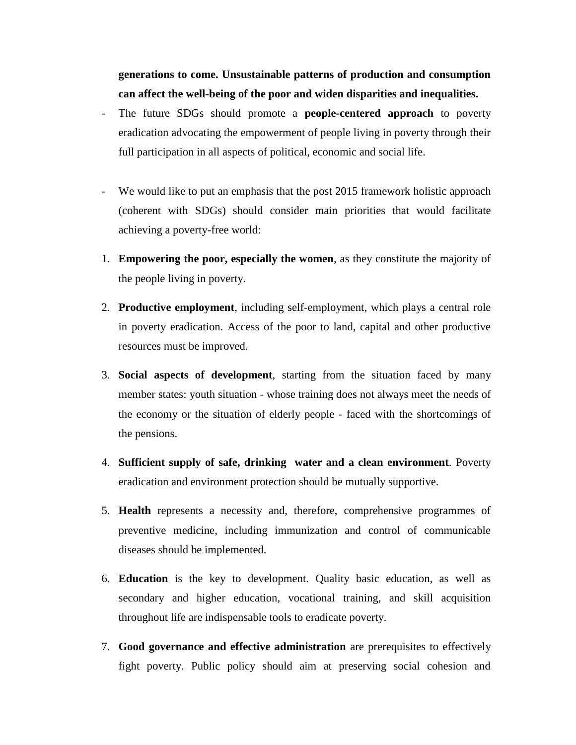**generations to come. Unsustainable patterns of production and consumption can affect the well-being of the poor and widen disparities and inequalities.** 

- The future SDGs should promote a **people-centered approach** to poverty eradication advocating the empowerment of people living in poverty through their full participation in all aspects of political, economic and social life.
- We would like to put an emphasis that the post 2015 framework holistic approach (coherent with SDGs) should consider main priorities that would facilitate achieving a poverty-free world:
- 1. **Empowering the poor, especially the women**, as they constitute the majority of the people living in poverty.
- 2. **Productive employment**, including self-employment, which plays a central role in poverty eradication. Access of the poor to land, capital and other productive resources must be improved.
- 3. **Social aspects of development**, starting from the situation faced by many member states: youth situation - whose training does not always meet the needs of the economy or the situation of elderly people - faced with the shortcomings of the pensions.
- 4. **Sufficient supply of safe, drinking water and a clean environment**. Poverty eradication and environment protection should be mutually supportive.
- 5. **Health** represents a necessity and, therefore, comprehensive programmes of preventive medicine, including immunization and control of communicable diseases should be implemented.
- 6. **Education** is the key to development. Quality basic education, as well as secondary and higher education, vocational training, and skill acquisition throughout life are indispensable tools to eradicate poverty.
- 7. **Good governance and effective administration** are prerequisites to effectively fight poverty. Public policy should aim at preserving social cohesion and